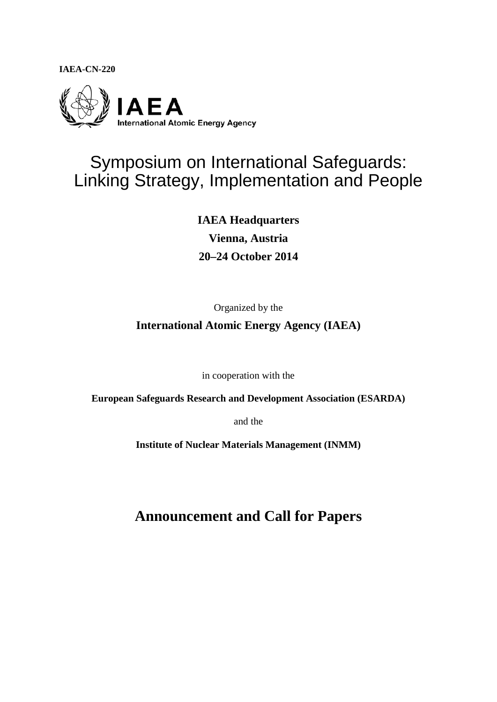**IAEA-CN-220**



# Symposium on International Safeguards: Linking Strategy, Implementation and People

**IAEA Headquarters Vienna, Austria 20–24 October 2014**

Organized by the **International Atomic Energy Agency (IAEA)**

in cooperation with the

**European Safeguards Research and Development Association (ESARDA)**

and the

**Institute of Nuclear Materials Management (INMM)**

**Announcement and Call for Papers**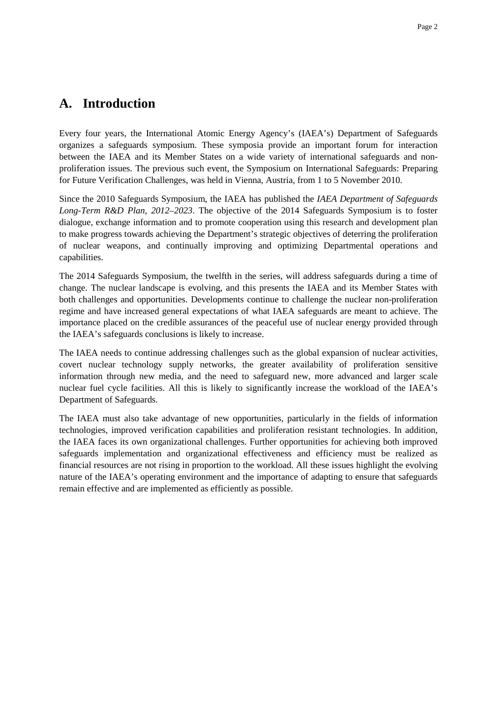### **A. Introduction**

Every four years, the International Atomic Energy Agency's (IAEA's) Department of Safeguards organizes a safeguards symposium. These symposia provide an important forum for interaction between the IAEA and its Member States on a wide variety of international safeguards and nonproliferation issues. The previous such event, the Symposium on International Safeguards: Preparing for Future Verification Challenges, was held in Vienna, Austria, from 1 to 5 November 2010.

Since the 2010 Safeguards Symposium, the IAEA has published the *IAEA Department of Safeguards Long-Term R&D Plan, 2012–2023*. The objective of the 2014 Safeguards Symposium is to foster dialogue, exchange information and to promote cooperation using this research and development plan to make progress towards achieving the Department's strategic objectives of deterring the proliferation of nuclear weapons, and continually improving and optimizing Departmental operations and capabilities.

The 2014 Safeguards Symposium, the twelfth in the series, will address safeguards during a time of change. The nuclear landscape is evolving, and this presents the IAEA and its Member States with both challenges and opportunities. Developments continue to challenge the nuclear non-proliferation regime and have increased general expectations of what IAEA safeguards are meant to achieve. The importance placed on the credible assurances of the peaceful use of nuclear energy provided through the IAEA's safeguards conclusions is likely to increase.

The IAEA needs to continue addressing challenges such as the global expansion of nuclear activities, covert nuclear technology supply networks, the greater availability of proliferation sensitive information through new media, and the need to safeguard new, more advanced and larger scale nuclear fuel cycle facilities. All this is likely to significantly increase the workload of the IAEA's Department of Safeguards.

The IAEA must also take advantage of new opportunities, particularly in the fields of information technologies, improved verification capabilities and proliferation resistant technologies. In addition, the IAEA faces its own organizational challenges. Further opportunities for achieving both improved safeguards implementation and organizational effectiveness and efficiency must be realized as financial resources are not rising in proportion to the workload. All these issues highlight the evolving nature of the IAEA's operating environment and the importance of adapting to ensure that safeguards remain effective and are implemented as efficiently as possible.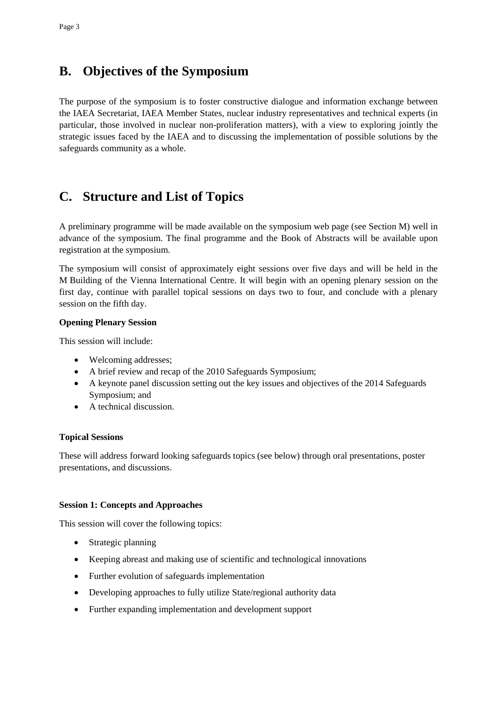## **B. Objectives of the Symposium**

The purpose of the symposium is to foster constructive dialogue and information exchange between the IAEA Secretariat, IAEA Member States, nuclear industry representatives and technical experts (in particular, those involved in nuclear non-proliferation matters), with a view to exploring jointly the strategic issues faced by the IAEA and to discussing the implementation of possible solutions by the safeguards community as a whole.

## **C. Structure and List of Topics**

A preliminary programme will be made available on the symposium web page (see Section M) well in advance of the symposium. The final programme and the Book of Abstracts will be available upon registration at the symposium.

The symposium will consist of approximately eight sessions over five days and will be held in the M Building of the Vienna International Centre. It will begin with an opening plenary session on the first day, continue with parallel topical sessions on days two to four, and conclude with a plenary session on the fifth day.

#### **Opening Plenary Session**

This session will include:

- Welcoming addresses;
- A brief review and recap of the 2010 Safeguards Symposium;
- A keynote panel discussion setting out the key issues and objectives of the 2014 Safeguards Symposium; and
- A technical discussion.

#### **Topical Sessions**

These will address forward looking safeguards topics (see below) through oral presentations, poster presentations, and discussions.

#### **Session 1: Concepts and Approaches**

This session will cover the following topics:

- Strategic planning
- Keeping abreast and making use of scientific and technological innovations
- Further evolution of safeguards implementation
- Developing approaches to fully utilize State/regional authority data
- Further expanding implementation and development support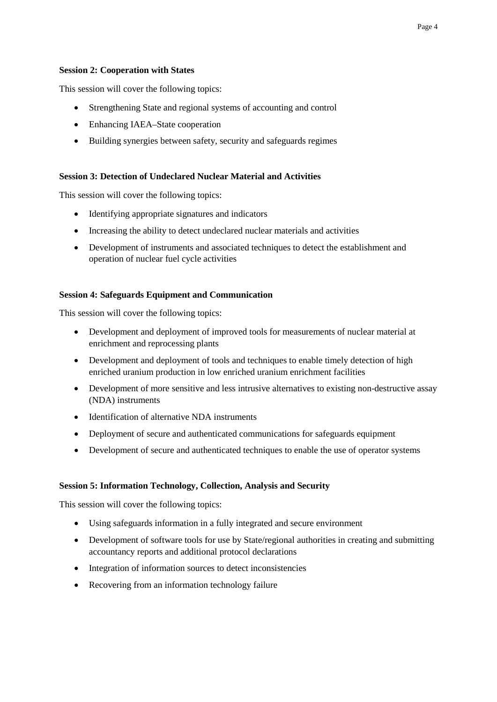#### **Session 2: Cooperation with States**

This session will cover the following topics:

- Strengthening State and regional systems of accounting and control
- Enhancing IAEA–State cooperation
- Building synergies between safety, security and safeguards regimes

#### **Session 3: Detection of Undeclared Nuclear Material and Activities**

This session will cover the following topics:

- Identifying appropriate signatures and indicators
- Increasing the ability to detect undeclared nuclear materials and activities
- Development of instruments and associated techniques to detect the establishment and operation of nuclear fuel cycle activities

#### **Session 4: Safeguards Equipment and Communication**

This session will cover the following topics:

- Development and deployment of improved tools for measurements of nuclear material at enrichment and reprocessing plants
- Development and deployment of tools and techniques to enable timely detection of high enriched uranium production in low enriched uranium enrichment facilities
- Development of more sensitive and less intrusive alternatives to existing non-destructive assay (NDA) instruments
- Identification of alternative NDA instruments
- Deployment of secure and authenticated communications for safeguards equipment
- Development of secure and authenticated techniques to enable the use of operator systems

#### **Session 5: Information Technology, Collection, Analysis and Security**

This session will cover the following topics:

- Using safeguards information in a fully integrated and secure environment
- Development of software tools for use by State/regional authorities in creating and submitting accountancy reports and additional protocol declarations
- Integration of information sources to detect inconsistencies
- Recovering from an information technology failure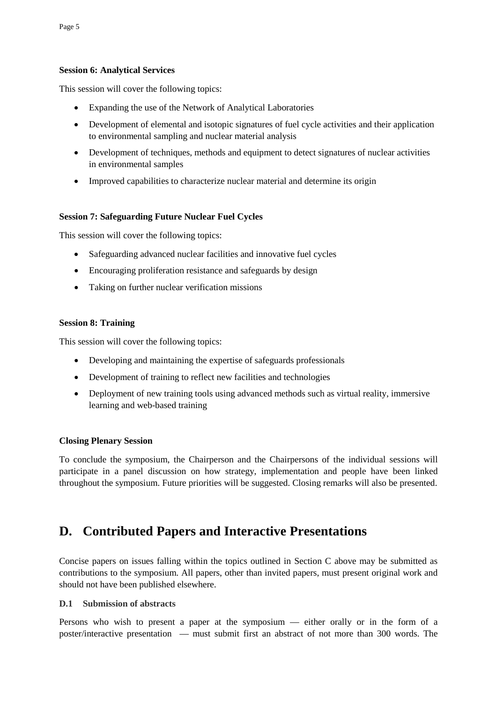#### **Session 6: Analytical Services**

This session will cover the following topics:

- Expanding the use of the Network of Analytical Laboratories
- Development of elemental and isotopic signatures of fuel cycle activities and their application to environmental sampling and nuclear material analysis
- Development of techniques, methods and equipment to detect signatures of nuclear activities in environmental samples
- Improved capabilities to characterize nuclear material and determine its origin

#### **Session 7: Safeguarding Future Nuclear Fuel Cycles**

This session will cover the following topics:

- Safeguarding advanced nuclear facilities and innovative fuel cycles
- Encouraging proliferation resistance and safeguards by design
- Taking on further nuclear verification missions

#### **Session 8: Training**

This session will cover the following topics:

- Developing and maintaining the expertise of safeguards professionals
- Development of training to reflect new facilities and technologies
- Deployment of new training tools using advanced methods such as virtual reality, immersive learning and web-based training

#### **Closing Plenary Session**

To conclude the symposium, the Chairperson and the Chairpersons of the individual sessions will participate in a panel discussion on how strategy, implementation and people have been linked throughout the symposium. Future priorities will be suggested. Closing remarks will also be presented.

## **D. Contributed Papers and Interactive Presentations**

Concise papers on issues falling within the topics outlined in Section C above may be submitted as contributions to the symposium. All papers, other than invited papers, must present original work and should not have been published elsewhere.

#### **D.1 Submission of abstracts**

Persons who wish to present a paper at the symposium — either orally or in the form of a poster/interactive presentation — must submit first an abstract of not more than 300 words. The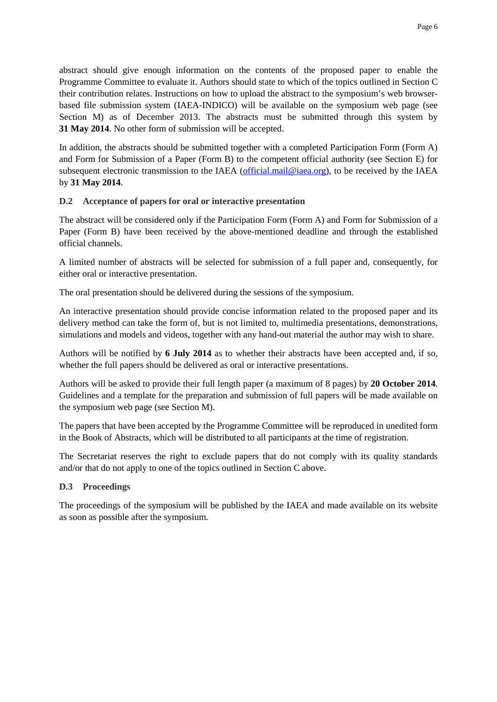abstract should give enough information on the contents of the proposed paper to enable the Programme Committee to evaluate it. Authors should state to which of the topics outlined in Section C their contribution relates. Instructions on how to upload the abstract to the symposium's web browserbased file submission system (IAEA-INDICO) will be available on the symposium web page (see Section M) as of December 2013. The abstracts must be submitted through this system by **31 May 2014**. No other form of submission will be accepted.

In addition, the abstracts should be submitted together with a completed Participation Form (Form A) and Form for Submission of a Paper (Form B) to the competent official authority (see Section E) for subsequent electronic transmission to the IAEA [\(official.mail@iaea.org\)](mailto:official.mail@iaea.org), to be received by the IAEA by **31 May 2014**.

#### **D.2 Acceptance of papers for oral or interactive presentation**

The abstract will be considered only if the Participation Form (Form A) and Form for Submission of a Paper (Form B) have been received by the above-mentioned deadline and through the established official channels.

A limited number of abstracts will be selected for submission of a full paper and, consequently, for either oral or interactive presentation.

The oral presentation should be delivered during the sessions of the symposium.

An interactive presentation should provide concise information related to the proposed paper and its delivery method can take the form of, but is not limited to, multimedia presentations, demonstrations, simulations and models and videos, together with any hand-out material the author may wish to share.

Authors will be notified by **6 July 2014** as to whether their abstracts have been accepted and, if so, whether the full papers should be delivered as oral or interactive presentations.

Authors will be asked to provide their full length paper (a maximum of 8 pages) by **20 October 2014**. Guidelines and a template for the preparation and submission of full papers will be made available on the symposium web page (see Section M).

The papers that have been accepted by the Programme Committee will be reproduced in unedited form in the Book of Abstracts, which will be distributed to all participants at the time of registration.

The Secretariat reserves the right to exclude papers that do not comply with its quality standards and/or that do not apply to one of the topics outlined in Section C above.

#### **D.3 Proceedings**

The proceedings of the symposium will be published by the IAEA and made available on its website as soon as possible after the symposium.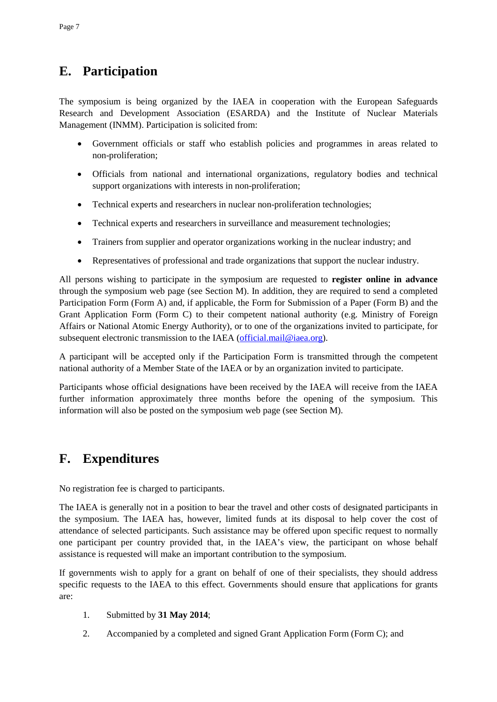## **E. Participation**

The symposium is being organized by the IAEA in cooperation with the European Safeguards Research and Development Association (ESARDA) and the Institute of Nuclear Materials Management (INMM). Participation is solicited from:

- Government officials or staff who establish policies and programmes in areas related to non-proliferation;
- Officials from national and international organizations, regulatory bodies and technical support organizations with interests in non-proliferation;
- Technical experts and researchers in nuclear non-proliferation technologies;
- Technical experts and researchers in surveillance and measurement technologies;
- Trainers from supplier and operator organizations working in the nuclear industry; and
- Representatives of professional and trade organizations that support the nuclear industry.

All persons wishing to participate in the symposium are requested to **register online in advance** through the symposium web page (see Section M). In addition, they are required to send a completed Participation Form (Form A) and, if applicable, the Form for Submission of a Paper (Form B) and the Grant Application Form (Form C) to their competent national authority (e.g. Ministry of Foreign Affairs or National Atomic Energy Authority), or to one of the organizations invited to participate, for subsequent electronic transmission to the IAEA [\(official.mail@iaea.org\)](mailto:official.mail@iaea.org).

A participant will be accepted only if the Participation Form is transmitted through the competent national authority of a Member State of the IAEA or by an organization invited to participate.

Participants whose official designations have been received by the IAEA will receive from the IAEA further information approximately three months before the opening of the symposium. This information will also be posted on the symposium web page (see Section M).

## **F. Expenditures**

No registration fee is charged to participants.

The IAEA is generally not in a position to bear the travel and other costs of designated participants in the symposium. The IAEA has, however, limited funds at its disposal to help cover the cost of attendance of selected participants. Such assistance may be offered upon specific request to normally one participant per country provided that, in the IAEA's view, the participant on whose behalf assistance is requested will make an important contribution to the symposium.

If governments wish to apply for a grant on behalf of one of their specialists, they should address specific requests to the IAEA to this effect. Governments should ensure that applications for grants are:

- 1. Submitted by **31 May 2014**;
- 2. Accompanied by a completed and signed Grant Application Form (Form C); and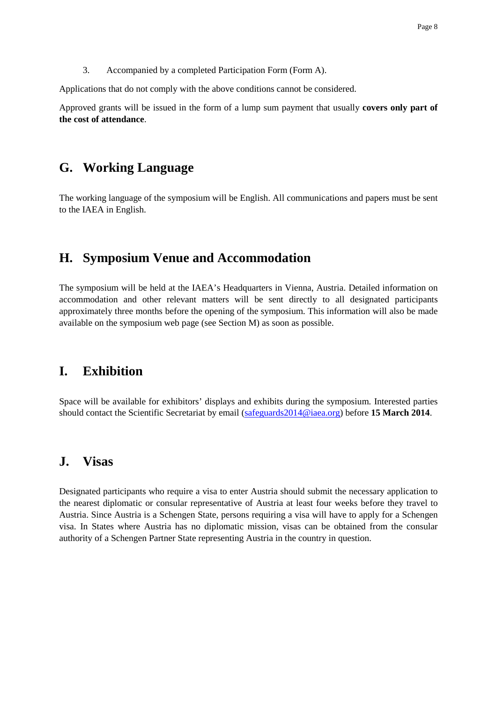3. Accompanied by a completed Participation Form (Form A).

Applications that do not comply with the above conditions cannot be considered.

Approved grants will be issued in the form of a lump sum payment that usually **covers only part of the cost of attendance**.

### **G. Working Language**

The working language of the symposium will be English. All communications and papers must be sent to the IAEA in English.

### **H. Symposium Venue and Accommodation**

The symposium will be held at the IAEA's Headquarters in Vienna, Austria. Detailed information on accommodation and other relevant matters will be sent directly to all designated participants approximately three months before the opening of the symposium. This information will also be made available on the symposium web page (see Section M) as soon as possible.

### **I. Exhibition**

Space will be available for exhibitors' displays and exhibits during the symposium. Interested parties should contact the Scientific Secretariat by email [\(safeguards2014@iaea.org\)](mailto:safeguards2014@iaea.org) before **15 March 2014**.

### **J. Visas**

Designated participants who require a visa to enter Austria should submit the necessary application to the nearest diplomatic or consular representative of Austria at least four weeks before they travel to Austria. Since Austria is a Schengen State, persons requiring a visa will have to apply for a Schengen visa. In States where Austria has no diplomatic mission, visas can be obtained from the consular authority of a Schengen Partner State representing Austria in the country in question.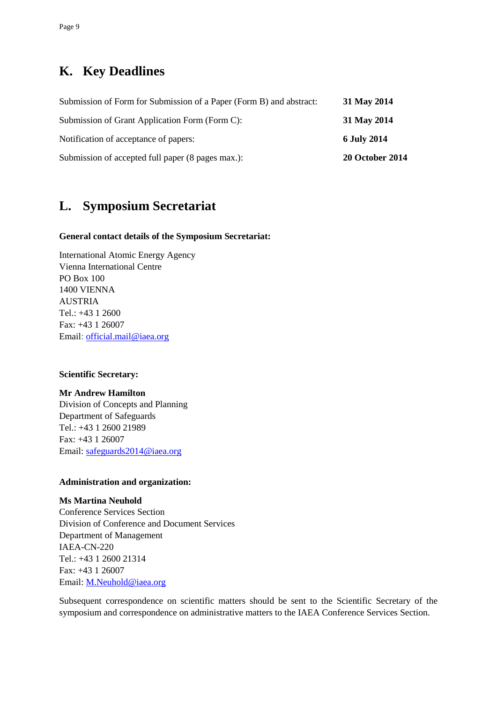## **K. Key Deadlines**

| Submission of Form for Submission of a Paper (Form B) and abstract: | 31 May 2014            |
|---------------------------------------------------------------------|------------------------|
| Submission of Grant Application Form (Form C):                      | 31 May 2014            |
| Notification of acceptance of papers:                               | <b>6 July 2014</b>     |
| Submission of accepted full paper (8 pages max.):                   | <b>20 October 2014</b> |

## **L. Symposium Secretariat**

#### **General contact details of the Symposium Secretariat:**

International Atomic Energy Agency Vienna International Centre PO Box 100 1400 VIENNA AUSTRIA Tel.: +43 1 2600 Fax: +43 1 26007 Email: [official.mail@iaea.org](mailto:official.mail@iaea.org)

#### **Scientific Secretary:**

#### **Mr Andrew Hamilton**

Division of Concepts and Planning Department of Safeguards Tel.: +43 1 2600 21989 Fax: +43 1 26007 Email: [safeguards2014@iaea.org](mailto:safeguards2014@iaea.org)

#### **Administration and organization:**

#### **Ms Martina Neuhold** Conference Services Section Division of Conference and Document Services Department of Management IAEA-CN-220 Tel.: +43 1 2600 21314 Fax: +43 1 26007 Email: [M.Neuhold@iaea.org](mailto:m.neuhold@iaea.org)

Subsequent correspondence on scientific matters should be sent to the Scientific Secretary of the symposium and correspondence on administrative matters to the IAEA Conference Services Section.